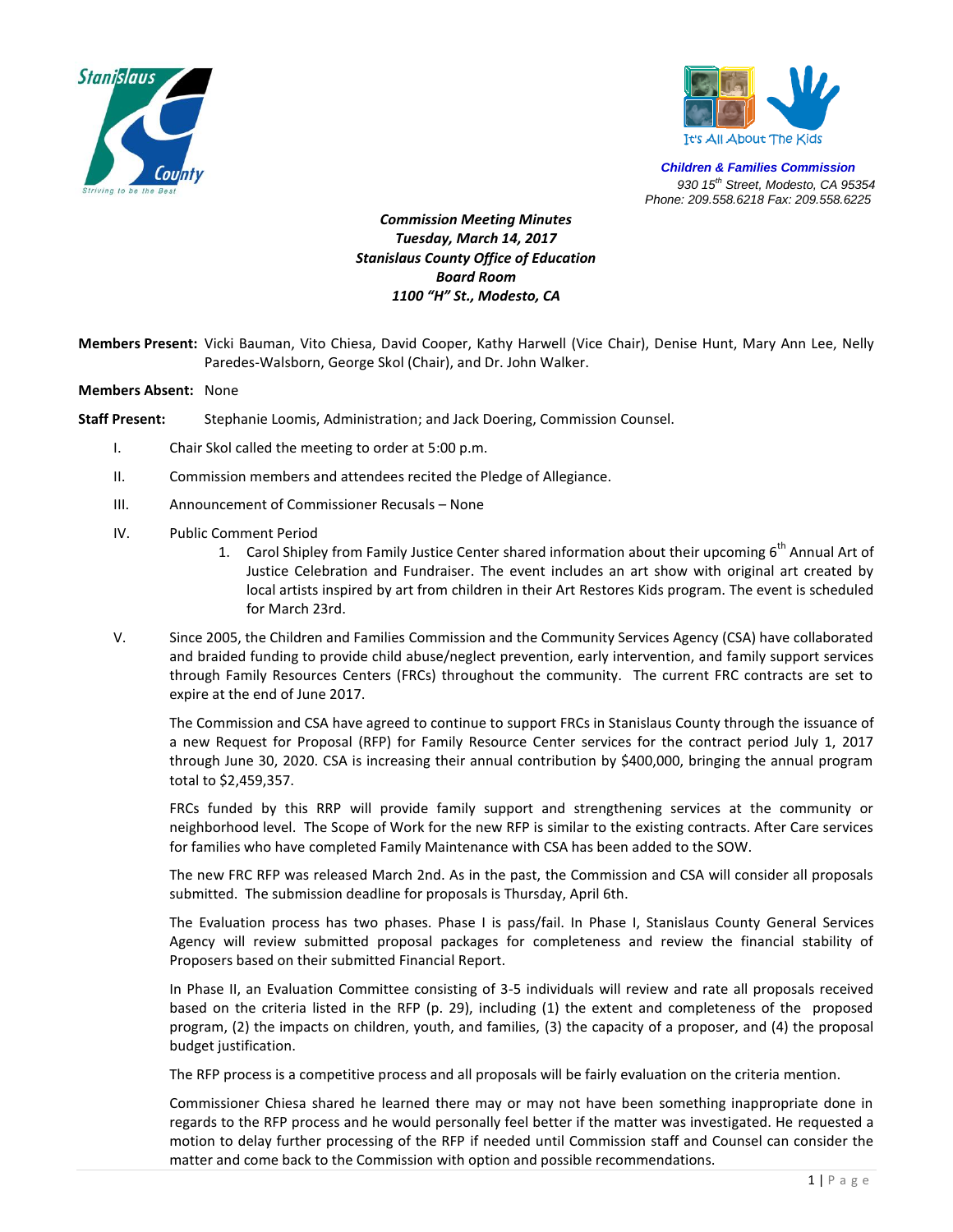



*Children & Families Commission 930 15th Street, Modesto, CA 95354 Phone: 209.558.6218 Fax: 209.558.6225*

## *Commission Meeting Minutes Tuesday, March 14, 2017 Stanislaus County Office of Education Board Room 1100 "H" St., Modesto, CA*

- **Members Present:** Vicki Bauman, Vito Chiesa, David Cooper, Kathy Harwell (Vice Chair), Denise Hunt, Mary Ann Lee, Nelly Paredes-Walsborn, George Skol (Chair), and Dr. John Walker.
- **Members Absent:** None
- **Staff Present:** Stephanie Loomis, Administration; and Jack Doering, Commission Counsel.
	- I. Chair Skol called the meeting to order at 5:00 p.m.
	- II. Commission members and attendees recited the Pledge of Allegiance.
	- III. Announcement of Commissioner Recusals None
	- IV. Public Comment Period
		- 1. Carol Shipley from Family Justice Center shared information about their upcoming  $6<sup>th</sup>$  Annual Art of Justice Celebration and Fundraiser. The event includes an art show with original art created by local artists inspired by art from children in their Art Restores Kids program. The event is scheduled for March 23rd.
	- V. Since 2005, the Children and Families Commission and the Community Services Agency (CSA) have collaborated and braided funding to provide child abuse/neglect prevention, early intervention, and family support services through Family Resources Centers (FRCs) throughout the community. The current FRC contracts are set to expire at the end of June 2017.

The Commission and CSA have agreed to continue to support FRCs in Stanislaus County through the issuance of a new Request for Proposal (RFP) for Family Resource Center services for the contract period July 1, 2017 through June 30, 2020. CSA is increasing their annual contribution by \$400,000, bringing the annual program total to \$2,459,357.

FRCs funded by this RRP will provide family support and strengthening services at the community or neighborhood level. The Scope of Work for the new RFP is similar to the existing contracts. After Care services for families who have completed Family Maintenance with CSA has been added to the SOW.

The new FRC RFP was released March 2nd. As in the past, the Commission and CSA will consider all proposals submitted. The submission deadline for proposals is Thursday, April 6th.

The Evaluation process has two phases. Phase I is pass/fail. In Phase I, Stanislaus County General Services Agency will review submitted proposal packages for completeness and review the financial stability of Proposers based on their submitted Financial Report.

In Phase II, an Evaluation Committee consisting of 3-5 individuals will review and rate all proposals received based on the criteria listed in the RFP (p. 29), including (1) the extent and completeness of the proposed program, (2) the impacts on children, youth, and families, (3) the capacity of a proposer, and (4) the proposal budget justification.

The RFP process is a competitive process and all proposals will be fairly evaluation on the criteria mention.

Commissioner Chiesa shared he learned there may or may not have been something inappropriate done in regards to the RFP process and he would personally feel better if the matter was investigated. He requested a motion to delay further processing of the RFP if needed until Commission staff and Counsel can consider the matter and come back to the Commission with option and possible recommendations.